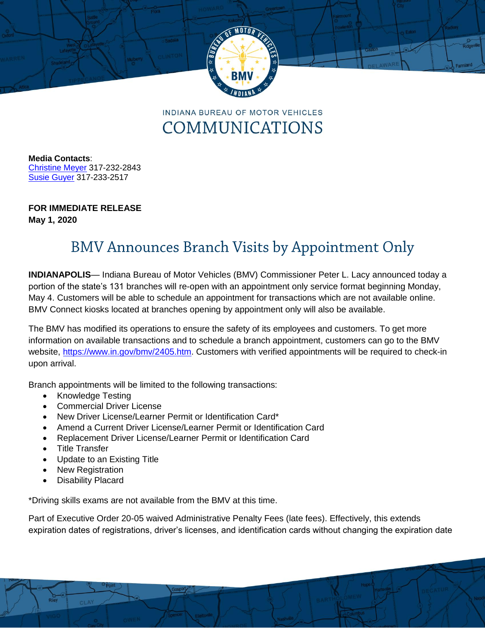

**INDIANA BUREAU OF MOTOR VEHICLES** COMMUNICATIONS

**Media Contacts**: [Christine Meyer](mailto:chmeyer@bmv.in.gov) 317-232-2843 [Susie](mailto:rharkin@bmv.in.gov) Guyer 317-233-2517

## **FOR IMMEDIATE RELEASE**

**May 1, 2020**

## **BMV Announces Branch Visits by Appointment Only**

**INDIANAPOLIS**— Indiana Bureau of Motor Vehicles (BMV) Commissioner Peter L. Lacy announced today a portion of the state's 131 branches will re-open with an appointment only service format beginning Monday, May 4. Customers will be able to schedule an appointment for transactions which are not available online. BMV Connect kiosks located at branches opening by appointment only will also be available.

The BMV has modified its operations to ensure the safety of its employees and customers. To get more information on available transactions and to schedule a branch appointment, customers can go to the BMV website, [https://www.in.gov/bmv/2405.htm.](https://www.in.gov/bmv/2405.htm) Customers with verified appointments will be required to check-in upon arrival.

Branch appointments will be limited to the following transactions:

- Knowledge Testing
- Commercial Driver License
- New Driver License/Learner Permit or Identification Card\*
- Amend a Current Driver License/Learner Permit or Identification Card
- Replacement Driver License/Learner Permit or Identification Card
- Title Transfer
- Update to an Existing Title
- New Registration
- Disability Placard

\*Driving skills exams are not available from the BMV at this time.

Part of Executive Order 20-05 waived Administrative Penalty Fees (late fees). Effectively, this extends expiration dates of registrations, driver's licenses, and identification cards without changing the expiration date